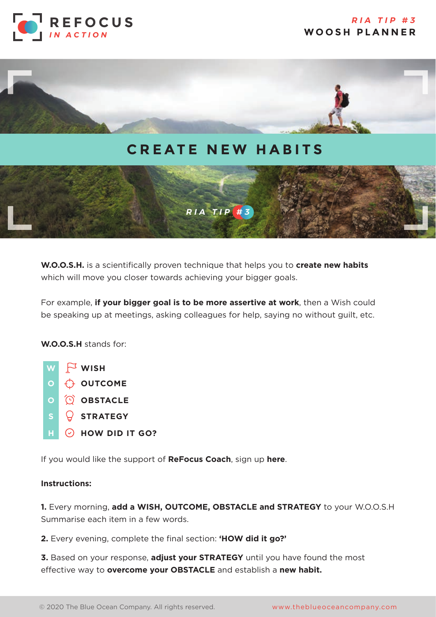



## **CREATE NEW HABITS**



**W.O.O.S.H.** is a scientifically proven technique that helps you to **create new habits** which will move you closer towards achieving your bigger goals.

For example, **if your bigger goal is to be more assertive at work**, then a Wish could be speaking up at meetings, asking colleagues for help, saying no without guilt, etc.

**W.O.O.S.H** stands for:



If you would like the support of **ReFocus Coach**, sign up **[here](https://the-blue-ocean-company.com/contact/)**.

## **Instructions:**

**1.** Every morning, **add a WISH, OUTCOME, OBSTACLE and STRATEGY** to your W.O.O.S.H Summarise each item in a few words.

**2.** Every evening, complete the final section: **'HOW did it go?'** 

**3.** Based on your response, **adjust your STRATEGY** until you have found the most effective way to **overcome your OBSTACLE** and establish a **new habit.**